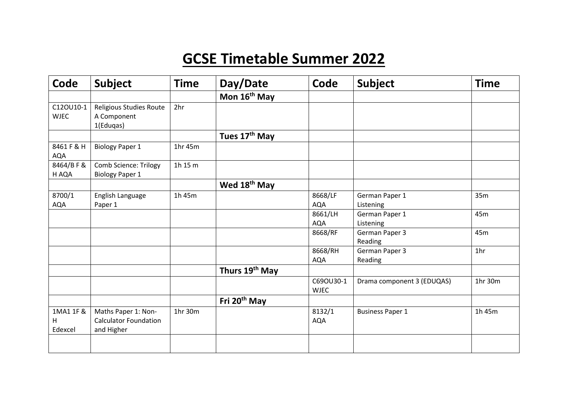## **GCSE Timetable Summer 2022**

| Code                      | Subject                                                           | <b>Time</b> | Day/Date                   | Code                     | Subject                     | <b>Time</b>     |
|---------------------------|-------------------------------------------------------------------|-------------|----------------------------|--------------------------|-----------------------------|-----------------|
|                           |                                                                   |             | Mon 16 <sup>th</sup> May   |                          |                             |                 |
| C12OU10-1<br><b>WJEC</b>  | Religious Studies Route<br>A Component<br>1(Eduqas)               | 2hr         |                            |                          |                             |                 |
|                           |                                                                   |             | Tues 17 <sup>th</sup> May  |                          |                             |                 |
| 8461 F & H<br><b>AQA</b>  | <b>Biology Paper 1</b>                                            | 1hr 45m     |                            |                          |                             |                 |
| 8464/BF&<br>H AQA         | <b>Comb Science: Trilogy</b><br><b>Biology Paper 1</b>            | 1h 15 m     |                            |                          |                             |                 |
|                           |                                                                   |             | Wed 18 <sup>th</sup> May   |                          |                             |                 |
| 8700/1<br>AQA             | English Language<br>Paper 1                                       | 1h 45m      |                            | 8668/LF<br><b>AQA</b>    | German Paper 1<br>Listening | 35m             |
|                           |                                                                   |             |                            | 8661/LH<br><b>AQA</b>    | German Paper 1<br>Listening | 45m             |
|                           |                                                                   |             |                            | 8668/RF                  | German Paper 3<br>Reading   | 45m             |
|                           |                                                                   |             |                            | 8668/RH<br><b>AQA</b>    | German Paper 3<br>Reading   | 1 <sub>hr</sub> |
|                           |                                                                   |             | Thurs 19 <sup>th</sup> May |                          |                             |                 |
|                           |                                                                   |             |                            | C69OU30-1<br><b>WJEC</b> | Drama component 3 (EDUQAS)  | 1hr 30m         |
|                           |                                                                   |             | Fri 20 <sup>th</sup> May   |                          |                             |                 |
| 1MA1 1F &<br>H<br>Edexcel | Maths Paper 1: Non-<br><b>Calculator Foundation</b><br>and Higher | 1hr 30m     |                            | 8132/1<br><b>AQA</b>     | <b>Business Paper 1</b>     | 1h 45m          |
|                           |                                                                   |             |                            |                          |                             |                 |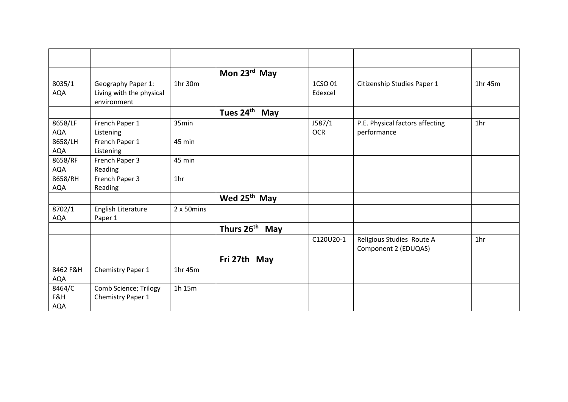|            |                                         |                 | Mon $23^{\text{rd}}$ May     |            |                                 |                 |
|------------|-----------------------------------------|-----------------|------------------------------|------------|---------------------------------|-----------------|
| 8035/1     | Geography Paper 1:                      | 1hr 30m         |                              | 1CSO 01    | Citizenship Studies Paper 1     | 1hr 45m         |
| <b>AQA</b> | Living with the physical<br>environment |                 |                              | Edexcel    |                                 |                 |
|            |                                         |                 | Tues 24 <sup>th</sup><br>May |            |                                 |                 |
| 8658/LF    | French Paper 1                          | 35min           |                              | J587/1     | P.E. Physical factors affecting | 1hr             |
| <b>AQA</b> | Listening                               |                 |                              | <b>OCR</b> | performance                     |                 |
| 8658/LH    | French Paper 1                          | 45 min          |                              |            |                                 |                 |
| AQA        | Listening                               |                 |                              |            |                                 |                 |
| 8658/RF    | French Paper 3                          | 45 min          |                              |            |                                 |                 |
| AQA        | Reading                                 |                 |                              |            |                                 |                 |
| 8658/RH    | French Paper 3                          | 1 <sub>hr</sub> |                              |            |                                 |                 |
| AQA        | Reading                                 |                 |                              |            |                                 |                 |
|            |                                         |                 | Wed 25 <sup>th</sup> May     |            |                                 |                 |
| 8702/1     | English Literature                      | 2 x 50mins      |                              |            |                                 |                 |
| <b>AQA</b> | Paper 1                                 |                 |                              |            |                                 |                 |
|            |                                         |                 | Thurs 26 <sup>th</sup> May   |            |                                 |                 |
|            |                                         |                 |                              | C120U20-1  | Religious Studies Route A       | 1 <sub>hr</sub> |
|            |                                         |                 |                              |            | Component 2 (EDUQAS)            |                 |
|            |                                         |                 | Fri 27th May                 |            |                                 |                 |
| 8462 F&H   | Chemistry Paper 1                       | 1hr 45m         |                              |            |                                 |                 |
| AQA        |                                         |                 |                              |            |                                 |                 |
| 8464/C     | Comb Science; Trilogy                   | 1h 15m          |                              |            |                                 |                 |
| F&H        | Chemistry Paper 1                       |                 |                              |            |                                 |                 |
| <b>AQA</b> |                                         |                 |                              |            |                                 |                 |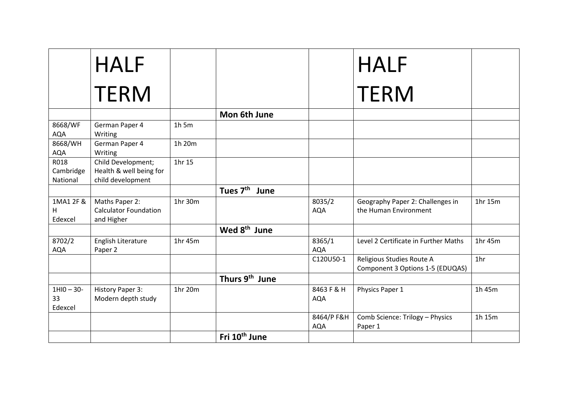|                               | <b>HALF</b>                                                        |         |                              |                          | <b>HALF</b>                                                   |                 |
|-------------------------------|--------------------------------------------------------------------|---------|------------------------------|--------------------------|---------------------------------------------------------------|-----------------|
|                               | <b>TERM</b>                                                        |         |                              |                          | <b>TERM</b>                                                   |                 |
|                               |                                                                    |         | Mon 6th June                 |                          |                                                               |                 |
| 8668/WF<br><b>AQA</b>         | German Paper 4<br>Writing                                          | $1h$ 5m |                              |                          |                                                               |                 |
| 8668/WH<br><b>AQA</b>         | German Paper 4<br>Writing                                          | 1h 20m  |                              |                          |                                                               |                 |
| R018<br>Cambridge<br>National | Child Development;<br>Health & well being for<br>child development | 1hr 15  |                              |                          |                                                               |                 |
|                               |                                                                    |         | Tues 7 <sup>th</sup><br>June |                          |                                                               |                 |
| 1MA1 2F &<br>Н.<br>Edexcel    | Maths Paper 2:<br><b>Calculator Foundation</b><br>and Higher       | 1hr 30m |                              | 8035/2<br><b>AQA</b>     | Geography Paper 2: Challenges in<br>the Human Environment     | 1hr 15m         |
|                               |                                                                    |         | Wed 8 <sup>th</sup> June     |                          |                                                               |                 |
| 8702/2<br><b>AQA</b>          | English Literature<br>Paper 2                                      | 1hr 45m |                              | 8365/1<br><b>AQA</b>     | Level 2 Certificate in Further Maths                          | 1hr 45m         |
|                               |                                                                    |         |                              | C120U50-1                | Religious Studies Route A<br>Component 3 Options 1-5 (EDUQAS) | 1 <sub>hr</sub> |
|                               |                                                                    |         | Thurs 9 <sup>th</sup> June   |                          |                                                               |                 |
| $1HIO - 3O-$<br>33<br>Edexcel | History Paper 3:<br>Modern depth study                             | 1hr 20m |                              | 8463 F & H<br><b>AQA</b> | Physics Paper 1                                               | 1h 45m          |
|                               |                                                                    |         |                              | 8464/P F&H<br><b>AQA</b> | Comb Science: Trilogy - Physics<br>Paper 1                    | 1h 15m          |
|                               |                                                                    |         | Fri 10 <sup>th</sup> June    |                          |                                                               |                 |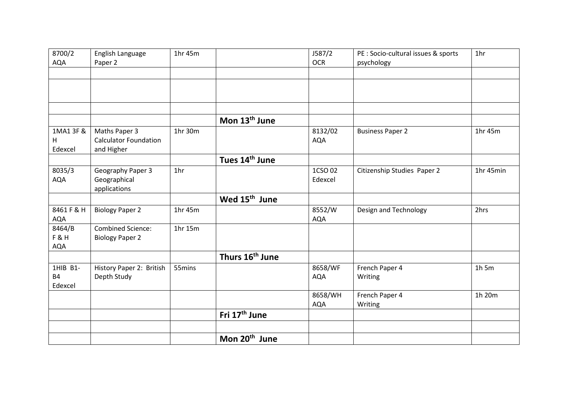| 8700/2         | English Language             | 1hr 45m         |                             | J587/2     | PE : Socio-cultural issues & sports | 1 <sub>hr</sub> |
|----------------|------------------------------|-----------------|-----------------------------|------------|-------------------------------------|-----------------|
| AQA            | Paper 2                      |                 |                             | <b>OCR</b> | psychology                          |                 |
|                |                              |                 |                             |            |                                     |                 |
|                |                              |                 |                             |            |                                     |                 |
|                |                              |                 |                             |            |                                     |                 |
|                |                              |                 |                             |            |                                     |                 |
|                |                              |                 | Mon 13 <sup>th</sup> June   |            |                                     |                 |
| 1MA1 3F &      | Maths Paper 3                | 1hr 30m         |                             | 8132/02    | <b>Business Paper 2</b>             | 1hr 45m         |
| H              | <b>Calculator Foundation</b> |                 |                             | <b>AQA</b> |                                     |                 |
| Edexcel        | and Higher                   |                 |                             |            |                                     |                 |
|                |                              |                 | Tues 14 <sup>th</sup> June  |            |                                     |                 |
| 8035/3         | Geography Paper 3            | 1 <sub>hr</sub> |                             | 1CSO 02    | Citizenship Studies Paper 2         | 1hr 45min       |
| <b>AQA</b>     | Geographical                 |                 |                             | Edexcel    |                                     |                 |
|                | applications                 |                 |                             |            |                                     |                 |
|                |                              |                 | Wed 15 <sup>th</sup> June   |            |                                     |                 |
| 8461 F & H     | <b>Biology Paper 2</b>       | 1hr 45m         |                             | 8552/W     | Design and Technology               | 2hrs            |
| AQA            |                              |                 |                             | <b>AQA</b> |                                     |                 |
| 8464/B         | <b>Combined Science:</b>     | 1hr 15m         |                             |            |                                     |                 |
| <b>F&amp;H</b> | <b>Biology Paper 2</b>       |                 |                             |            |                                     |                 |
| <b>AQA</b>     |                              |                 |                             |            |                                     |                 |
|                |                              |                 | Thurs 16 <sup>th</sup> June |            |                                     |                 |
| 1HIB B1-       | History Paper 2: British     | 55mins          |                             | 8658/WF    | French Paper 4                      | $1h$ 5m         |
| <b>B4</b>      | Depth Study                  |                 |                             | <b>AQA</b> | Writing                             |                 |
| Edexcel        |                              |                 |                             |            |                                     |                 |
|                |                              |                 |                             | 8658/WH    | French Paper 4                      | 1h 20m          |
|                |                              |                 |                             | <b>AQA</b> | Writing                             |                 |
|                |                              |                 | Fri 17 <sup>th</sup> June   |            |                                     |                 |
|                |                              |                 |                             |            |                                     |                 |
|                |                              |                 | Mon 20 <sup>th</sup> June   |            |                                     |                 |